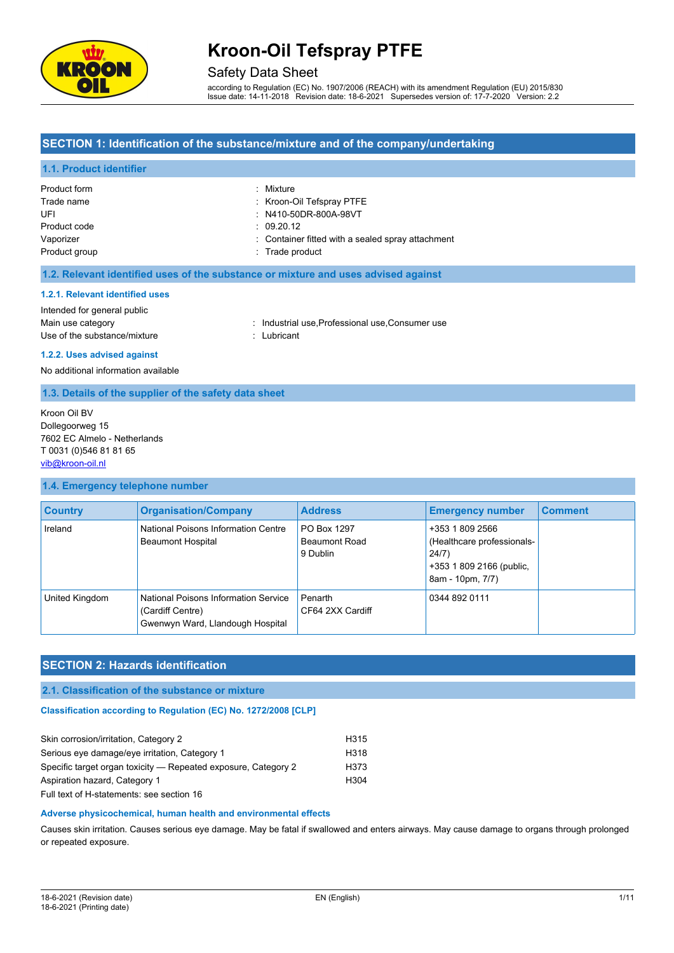

#### Safety Data Sheet

according to Regulation (EC) No. 1907/2006 (REACH) with its amendment Regulation (EU) 2015/830 Issue date: 14-11-2018 Revision date: 18-6-2021 Supersedes version of: 17-7-2020 Version: 2.2

#### **SECTION 1: Identification of the substance/mixture and of the company/undertaking**

#### **1.1. Product identifier**

| Product form  | : Mixture                                         |
|---------------|---------------------------------------------------|
| Trade name    | : Kroon-Oil Tefspray PTFE                         |
| UFI           | : N410-50DR-800A-98VT                             |
| Product code  | $\therefore$ 09.20.12                             |
| Vaporizer     | : Container fitted with a sealed spray attachment |
| Product group | : Trade product                                   |

#### **1.2. Relevant identified uses of the substance or mixture and uses advised against**

#### **1.2.1. Relevant identified uses**

Intended for general public Use of the substance/mixture in the substance in the set of the substantial state of the substantial control of the substantial control of the substantial control of the substantial control of the substantial control of th

Main use category **industrial use, Professional use, Consumer use** in Main use category

**1.2.2. Uses advised against** No additional information available

#### **1.3. Details of the supplier of the safety data sheet**

Kroon Oil BV Dollegoorweg 15 7602 EC Almelo - Netherlands T 0031 (0)546 81 81 65 [vib@kroon-oil.nl](mailto:vib@kroon-oil.nl)

#### **1.4. Emergency telephone number**

| <b>Country</b> | <b>Organisation/Company</b>                                                                  | <b>Address</b>                                  | <b>Emergency number</b>                                                                                | <b>Comment</b> |
|----------------|----------------------------------------------------------------------------------------------|-------------------------------------------------|--------------------------------------------------------------------------------------------------------|----------------|
| Ireland        | National Poisons Information Centre<br><b>Beaumont Hospital</b>                              | PO Box 1297<br><b>Beaumont Road</b><br>9 Dublin | +353 1 809 2566<br>(Healthcare professionals-<br>24/7)<br>+353 1 809 2166 (public,<br>8am - 10pm, 7/7) |                |
| United Kingdom | National Poisons Information Service<br>(Cardiff Centre)<br>Gwenwyn Ward, Llandough Hospital | Penarth<br>CF64 2XX Cardiff                     | 0344 892 0111                                                                                          |                |

### **SECTION 2: Hazards identification**

#### **2.1. Classification of the substance or mixture**

#### **Classification according to Regulation (EC) No. 1272/2008 [CLP]**

| Skin corrosion/irritation, Category 2                          | H <sub>315</sub> |
|----------------------------------------------------------------|------------------|
| Serious eye damage/eye irritation, Category 1                  | H <sub>318</sub> |
| Specific target organ toxicity - Repeated exposure, Category 2 | H373             |
| Aspiration hazard, Category 1                                  | H <sub>304</sub> |
| Full text of H-statements: see section 16                      |                  |

### **Adverse physicochemical, human health and environmental effects**

Causes skin irritation. Causes serious eye damage. May be fatal if swallowed and enters airways. May cause damage to organs through prolonged or repeated exposure.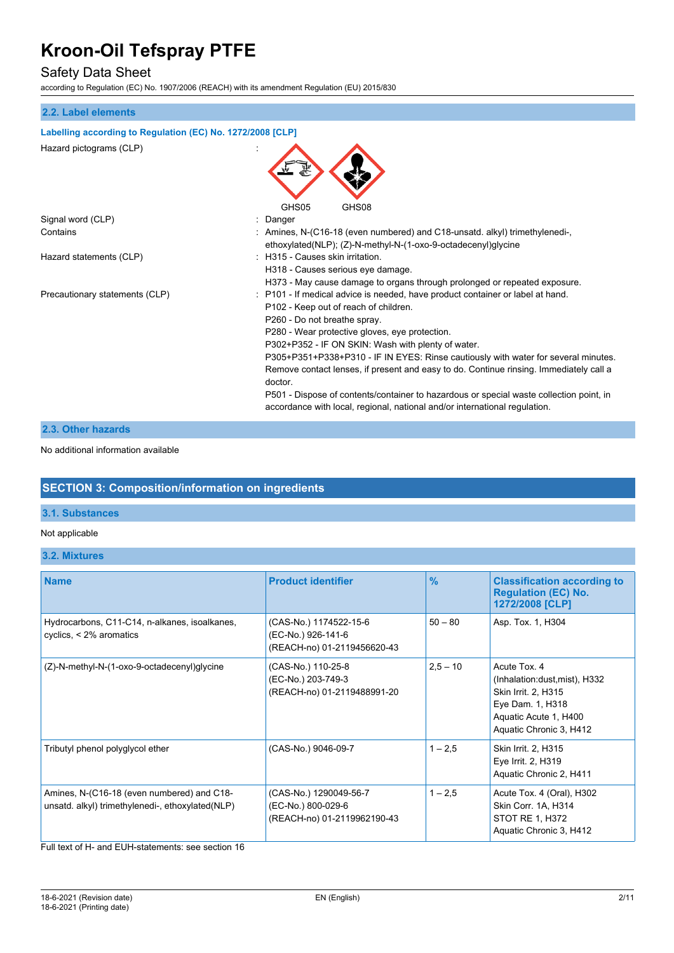### Safety Data Sheet

according to Regulation (EC) No. 1907/2006 (REACH) with its amendment Regulation (EU) 2015/830

#### **2.2. Label elements**

| Labelling according to Regulation (EC) No. 1272/2008 [CLP] |                                                                                                                                                                                                                                                                                                                                                                                                                                                                                                                                                                                                                                     |  |
|------------------------------------------------------------|-------------------------------------------------------------------------------------------------------------------------------------------------------------------------------------------------------------------------------------------------------------------------------------------------------------------------------------------------------------------------------------------------------------------------------------------------------------------------------------------------------------------------------------------------------------------------------------------------------------------------------------|--|
| Hazard pictograms (CLP)                                    |                                                                                                                                                                                                                                                                                                                                                                                                                                                                                                                                                                                                                                     |  |
| Signal word (CLP)                                          | GHS05<br>GHS08<br>Danger                                                                                                                                                                                                                                                                                                                                                                                                                                                                                                                                                                                                            |  |
| Contains                                                   | : Amines, N-(C16-18 (even numbered) and C18-unsatd. alkyl) trimethylenedi-,<br>ethoxylated(NLP); (Z)-N-methyl-N-(1-oxo-9-octadecenyl)glycine                                                                                                                                                                                                                                                                                                                                                                                                                                                                                        |  |
| Hazard statements (CLP)                                    | : H315 - Causes skin irritation.<br>H318 - Causes serious eye damage.<br>H373 - May cause damage to organs through prolonged or repeated exposure.                                                                                                                                                                                                                                                                                                                                                                                                                                                                                  |  |
| Precautionary statements (CLP)                             | : P101 - If medical advice is needed, have product container or label at hand.<br>P102 - Keep out of reach of children.<br>P260 - Do not breathe spray.<br>P280 - Wear protective gloves, eye protection.<br>P302+P352 - IF ON SKIN: Wash with plenty of water.<br>P305+P351+P338+P310 - IF IN EYES: Rinse cautiously with water for several minutes.<br>Remove contact lenses, if present and easy to do. Continue rinsing. Immediately call a<br>doctor.<br>P501 - Dispose of contents/container to hazardous or special waste collection point, in<br>accordance with local, regional, national and/or international regulation. |  |

#### **2.3. Other hazards**

No additional information available

### **SECTION 3: Composition/information on ingredients**

#### **3.1. Substances**

#### Not applicable

**3.2. Mixtures**

| <b>Name</b>                                                                                    | <b>Product identifier</b>                                                   | $\frac{9}{6}$ | <b>Classification according to</b><br><b>Regulation (EC) No.</b><br>1272/2008 [CLP]                                                          |
|------------------------------------------------------------------------------------------------|-----------------------------------------------------------------------------|---------------|----------------------------------------------------------------------------------------------------------------------------------------------|
| Hydrocarbons, C11-C14, n-alkanes, isoalkanes,<br>cyclics, $\leq$ 2% aromatics                  | (CAS-No.) 1174522-15-6<br>(EC-No.) 926-141-6<br>(REACH-no) 01-2119456620-43 | $50 - 80$     | Asp. Tox. 1, H304                                                                                                                            |
| (Z)-N-methyl-N-(1-oxo-9-octadecenyl)glycine                                                    | (CAS-No.) 110-25-8<br>(EC-No.) 203-749-3<br>(REACH-no) 01-2119488991-20     | $2,5 - 10$    | Acute Tox. 4<br>(Inhalation:dust, mist), H332<br>Skin Irrit. 2, H315<br>Eye Dam. 1, H318<br>Aquatic Acute 1, H400<br>Aquatic Chronic 3, H412 |
| Tributyl phenol polyglycol ether                                                               | (CAS-No.) 9046-09-7                                                         | $1 - 2.5$     | Skin Irrit. 2, H315<br>Eye Irrit. 2, H319<br>Aquatic Chronic 2, H411                                                                         |
| Amines, N-(C16-18 (even numbered) and C18-<br>unsatd. alkyl) trimethylenedi-, ethoxylated(NLP) | (CAS-No.) 1290049-56-7<br>(EC-No.) 800-029-6<br>(REACH-no) 01-2119962190-43 | $1 - 2.5$     | Acute Tox. 4 (Oral), H302<br>Skin Corr. 1A, H314<br><b>STOT RE 1, H372</b><br>Aquatic Chronic 3, H412                                        |

Full text of H- and EUH-statements: see section 16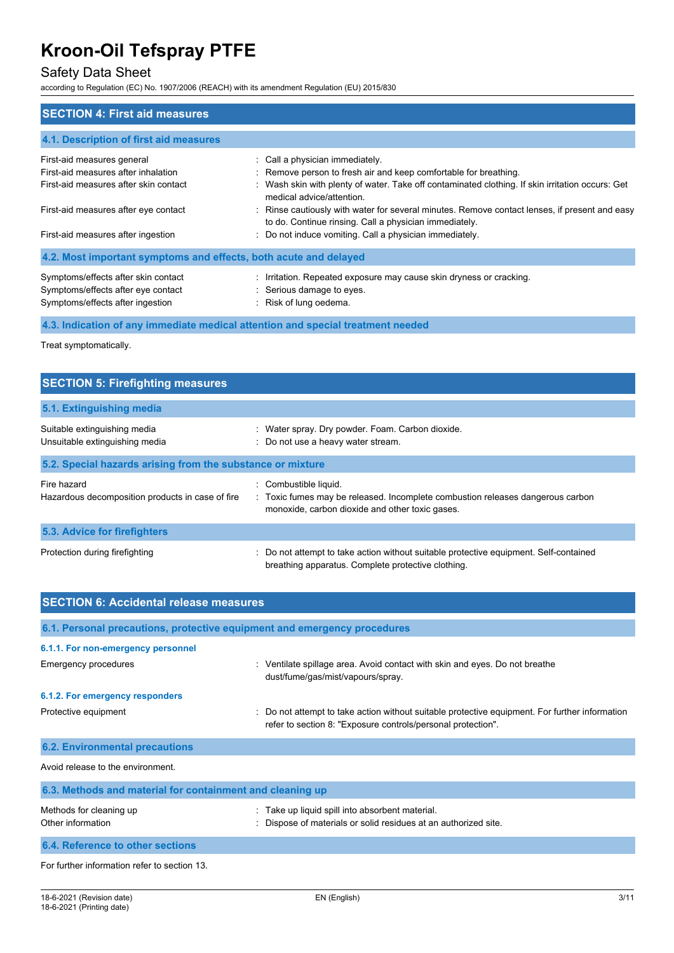### Safety Data Sheet

according to Regulation (EC) No. 1907/2006 (REACH) with its amendment Regulation (EU) 2015/830

| <b>SECTION 4: First aid measures</b>                             |                                                                                                                                                         |  |  |  |
|------------------------------------------------------------------|---------------------------------------------------------------------------------------------------------------------------------------------------------|--|--|--|
| 4.1. Description of first aid measures                           |                                                                                                                                                         |  |  |  |
| First-aid measures general                                       | : Call a physician immediately                                                                                                                          |  |  |  |
| First-aid measures after inhalation                              | : Remove person to fresh air and keep comfortable for breathing.                                                                                        |  |  |  |
| First-aid measures after skin contact                            | Wash skin with plenty of water. Take off contaminated clothing. If skin irritation occurs: Get<br>medical advice/attention.                             |  |  |  |
| First-aid measures after eye contact                             | : Rinse cautiously with water for several minutes. Remove contact lenses, if present and easy<br>to do. Continue rinsing. Call a physician immediately. |  |  |  |
| First-aid measures after ingestion                               | : Do not induce vomiting. Call a physician immediately.                                                                                                 |  |  |  |
| 4.2. Most important symptoms and effects, both acute and delayed |                                                                                                                                                         |  |  |  |
| Symptoms/effects after skin contact                              | : Irritation. Repeated exposure may cause skin dryness or cracking.                                                                                     |  |  |  |
| Symptoms/effects after eye contact                               | : Serious damage to eyes.                                                                                                                               |  |  |  |
| Symptoms/effects after ingestion                                 | : Risk of lung oedema.                                                                                                                                  |  |  |  |

**4.3. Indication of any immediate medical attention and special treatment needed**

Treat symptomatically.

| <b>SECTION 5: Firefighting measures</b>                         |                                                                                                                                                            |  |  |
|-----------------------------------------------------------------|------------------------------------------------------------------------------------------------------------------------------------------------------------|--|--|
| 5.1. Extinguishing media                                        |                                                                                                                                                            |  |  |
| Suitable extinguishing media<br>Unsuitable extinguishing media  | : Water spray. Dry powder. Foam. Carbon dioxide.<br>: Do not use a heavy water stream.                                                                     |  |  |
| 5.2. Special hazards arising from the substance or mixture      |                                                                                                                                                            |  |  |
| Fire hazard<br>Hazardous decomposition products in case of fire | : Combustible liquid.<br>: Toxic fumes may be released. Incomplete combustion releases dangerous carbon<br>monoxide, carbon dioxide and other toxic gases. |  |  |
| 5.3. Advice for firefighters                                    |                                                                                                                                                            |  |  |
| Protection during firefighting                                  | : Do not attempt to take action without suitable protective equipment. Self-contained<br>breathing apparatus. Complete protective clothing.                |  |  |

| <b>SECTION 6: Accidental release measures</b>                            |                                                                                                                                                              |  |  |  |
|--------------------------------------------------------------------------|--------------------------------------------------------------------------------------------------------------------------------------------------------------|--|--|--|
| 6.1. Personal precautions, protective equipment and emergency procedures |                                                                                                                                                              |  |  |  |
| 6.1.1. For non-emergency personnel                                       |                                                                                                                                                              |  |  |  |
| Emergency procedures                                                     | : Ventilate spillage area. Avoid contact with skin and eyes. Do not breathe<br>dust/fume/gas/mist/vapours/spray.                                             |  |  |  |
| 6.1.2. For emergency responders                                          |                                                                                                                                                              |  |  |  |
| Protective equipment                                                     | Do not attempt to take action without suitable protective equipment. For further information<br>refer to section 8: "Exposure controls/personal protection". |  |  |  |
| <b>6.2. Environmental precautions</b>                                    |                                                                                                                                                              |  |  |  |
| Avoid release to the environment                                         |                                                                                                                                                              |  |  |  |
| 6.3. Methods and material for containment and cleaning up                |                                                                                                                                                              |  |  |  |
| Methods for cleaning up<br>Other information                             | Take up liquid spill into absorbent material.<br>Dispose of materials or solid residues at an authorized site.                                               |  |  |  |
| 6.4. Reference to other sections                                         |                                                                                                                                                              |  |  |  |
| For further information refer to section 13.                             |                                                                                                                                                              |  |  |  |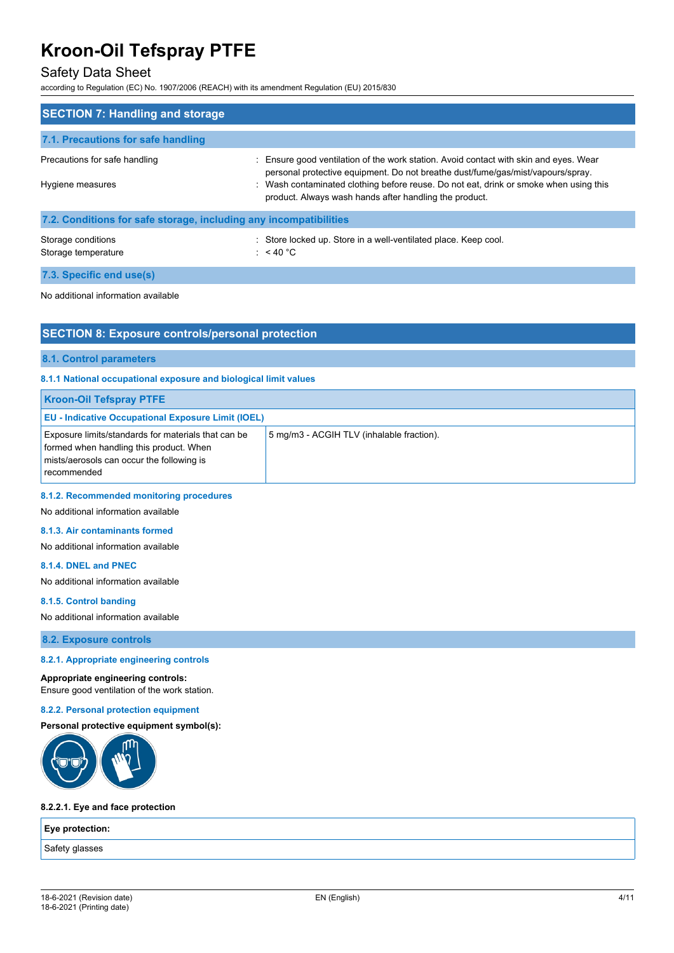#### Safety Data Sheet

according to Regulation (EC) No. 1907/2006 (REACH) with its amendment Regulation (EU) 2015/830

| <b>SECTION 7: Handling and storage</b>                            |                                                                                                                                                                                                                                                                                                                             |
|-------------------------------------------------------------------|-----------------------------------------------------------------------------------------------------------------------------------------------------------------------------------------------------------------------------------------------------------------------------------------------------------------------------|
| 7.1. Precautions for safe handling                                |                                                                                                                                                                                                                                                                                                                             |
| Precautions for safe handling<br>Hygiene measures                 | : Ensure good ventilation of the work station. Avoid contact with skin and eyes. Wear<br>personal protective equipment. Do not breathe dust/fume/gas/mist/vapours/spray.<br>: Wash contaminated clothing before reuse. Do not eat, drink or smoke when using this<br>product. Always wash hands after handling the product. |
| 7.2. Conditions for safe storage, including any incompatibilities |                                                                                                                                                                                                                                                                                                                             |
| Storage conditions<br>Storage temperature                         | : Store locked up. Store in a well-ventilated place. Keep cool.<br>: $<$ 40 °C                                                                                                                                                                                                                                              |
| 7.3. Specific end use(s)                                          |                                                                                                                                                                                                                                                                                                                             |
| No additional information available                               |                                                                                                                                                                                                                                                                                                                             |

#### **SECTION 8: Exposure controls/personal protection**

#### **8.1. Control parameters**

#### **8.1.1 National occupational exposure and biological limit values**

| <b>Kroon-Oil Tefspray PTFE</b>                                                                                                                                    |                                           |
|-------------------------------------------------------------------------------------------------------------------------------------------------------------------|-------------------------------------------|
| <b>EU - Indicative Occupational Exposure Limit (IOEL)</b>                                                                                                         |                                           |
| <b>Exposure limits/standards for materials that can be</b><br>formed when handling this product. When<br>mists/aerosols can occur the following is<br>recommended | 5 mg/m3 - ACGIH TLV (inhalable fraction). |

#### **8.1.2. Recommended monitoring procedures**

No additional information available

#### **8.1.3. Air contaminants formed**

No additional information available

#### **8.1.4. DNEL and PNEC**

No additional information available

#### **8.1.5. Control banding**

No additional information available

**8.2. Exposure controls**

#### **8.2.1. Appropriate engineering controls**

#### **Appropriate engineering controls:**

Ensure good ventilation of the work station.

#### **8.2.2. Personal protection equipment**

#### **Personal protective equipment symbol(s):**



#### **8.2.2.1. Eye and face protection**

| Eye protection: |  |
|-----------------|--|
| Safety glasses  |  |
|                 |  |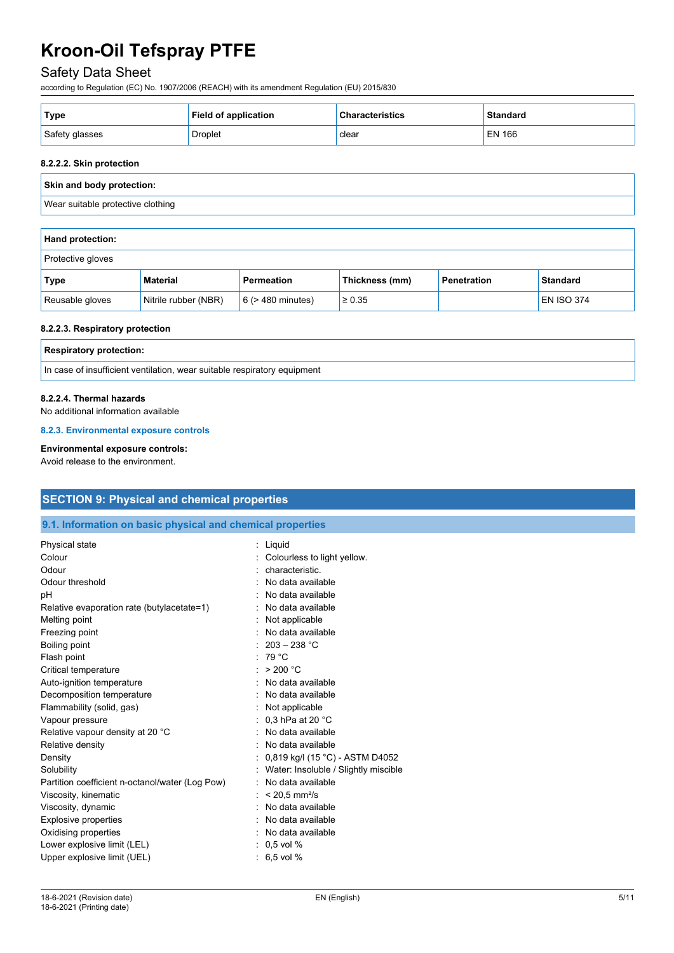### Safety Data Sheet

according to Regulation (EC) No. 1907/2006 (REACH) with its amendment Regulation (EU) 2015/830

| ' Type         | <b>Field of application</b> | <b>Characteristics</b> | <b>Standard</b> |
|----------------|-----------------------------|------------------------|-----------------|
| Safety glasses | Droplet                     | clear                  | EN 166          |

#### **8.2.2.2. Skin protection**

| Skin and body protection:         |  |
|-----------------------------------|--|
| Wear suitable protective clothing |  |
|                                   |  |
| <b>Hand protection:</b>           |  |
| Protective gloves                 |  |

| Type            | <b>Material</b>      | <b>Permeation</b>      | Thickness (mm) | Penetration | <b>Standard</b>   |
|-----------------|----------------------|------------------------|----------------|-------------|-------------------|
| Reusable gloves | Nitrile rubber (NBR) | $6$ ( $>$ 480 minutes) | $\geq 0.35$    |             | <b>EN ISO 374</b> |

#### **8.2.2.3. Respiratory protection**

| <b>Respiratory protection:</b>                                           |
|--------------------------------------------------------------------------|
| In case of insufficient ventilation, wear suitable respiratory equipment |

#### **8.2.2.4. Thermal hazards**

No additional information available

**8.2.3. Environmental exposure controls**

#### **Environmental exposure controls:**

Avoid release to the environment.

# **SECTION 9: Physical and chemical properties**

#### **9.1. Information on basic physical and chemical properties**

| Physical state<br>Colour<br>Odour<br>Odour threshold<br>рH<br>Relative evaporation rate (butylacetate=1)<br>Melting point<br>Freezing point<br>Boiling point<br>Flash point<br>Critical temperature<br>Auto-ignition temperature<br>Decomposition temperature<br>Flammability (solid, gas)<br>Vapour pressure<br>Relative vapour density at 20 °C<br>Relative density | : Liquid<br>Colourless to light yellow.<br>characteristic.<br>No data available<br>No data available<br>: No data available<br>Not applicable<br>: No data available<br>: $203 - 238$ °C<br>: 79 $^{\circ}$ C<br>: $> 200 °C$<br>: No data available<br>: No data available<br>: Not applicable<br>: 0,3 hPa at 20 $^{\circ}$ C<br>No data available<br>: No data available |
|-----------------------------------------------------------------------------------------------------------------------------------------------------------------------------------------------------------------------------------------------------------------------------------------------------------------------------------------------------------------------|-----------------------------------------------------------------------------------------------------------------------------------------------------------------------------------------------------------------------------------------------------------------------------------------------------------------------------------------------------------------------------|
|                                                                                                                                                                                                                                                                                                                                                                       |                                                                                                                                                                                                                                                                                                                                                                             |
|                                                                                                                                                                                                                                                                                                                                                                       |                                                                                                                                                                                                                                                                                                                                                                             |
|                                                                                                                                                                                                                                                                                                                                                                       |                                                                                                                                                                                                                                                                                                                                                                             |
|                                                                                                                                                                                                                                                                                                                                                                       |                                                                                                                                                                                                                                                                                                                                                                             |
|                                                                                                                                                                                                                                                                                                                                                                       |                                                                                                                                                                                                                                                                                                                                                                             |
|                                                                                                                                                                                                                                                                                                                                                                       |                                                                                                                                                                                                                                                                                                                                                                             |
|                                                                                                                                                                                                                                                                                                                                                                       |                                                                                                                                                                                                                                                                                                                                                                             |
|                                                                                                                                                                                                                                                                                                                                                                       |                                                                                                                                                                                                                                                                                                                                                                             |
|                                                                                                                                                                                                                                                                                                                                                                       |                                                                                                                                                                                                                                                                                                                                                                             |
| Density                                                                                                                                                                                                                                                                                                                                                               | : $0,819$ kg/l (15 °C) - ASTM D4052                                                                                                                                                                                                                                                                                                                                         |
| Solubility                                                                                                                                                                                                                                                                                                                                                            | Water: Insoluble / Slightly miscible                                                                                                                                                                                                                                                                                                                                        |
| Partition coefficient n-octanol/water (Log Pow)                                                                                                                                                                                                                                                                                                                       | : No data available                                                                                                                                                                                                                                                                                                                                                         |
| Viscosity, kinematic                                                                                                                                                                                                                                                                                                                                                  | $< 20.5$ mm <sup>2</sup> /s                                                                                                                                                                                                                                                                                                                                                 |
| Viscosity, dynamic                                                                                                                                                                                                                                                                                                                                                    | : No data available                                                                                                                                                                                                                                                                                                                                                         |
| <b>Explosive properties</b>                                                                                                                                                                                                                                                                                                                                           | : No data available                                                                                                                                                                                                                                                                                                                                                         |
| Oxidising properties                                                                                                                                                                                                                                                                                                                                                  | : No data available                                                                                                                                                                                                                                                                                                                                                         |
| Lower explosive limit (LEL)                                                                                                                                                                                                                                                                                                                                           | $: 0.5$ vol %                                                                                                                                                                                                                                                                                                                                                               |
| Upper explosive limit (UEL)                                                                                                                                                                                                                                                                                                                                           | 6,5 vol %                                                                                                                                                                                                                                                                                                                                                                   |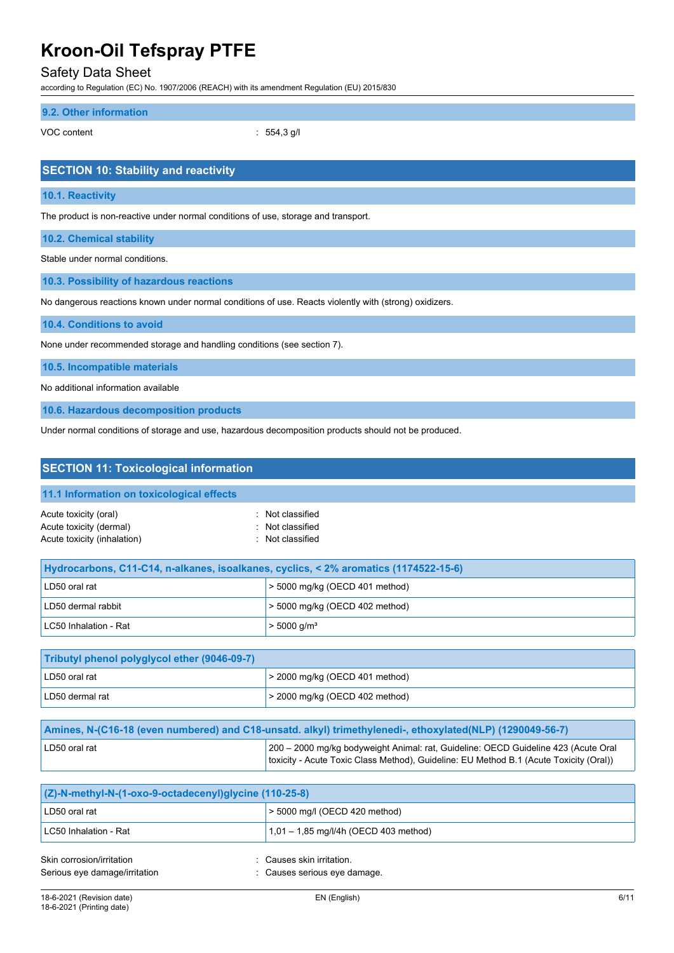### Safety Data Sheet

according to Regulation (EC) No. 1907/2006 (REACH) with its amendment Regulation (EU) 2015/830

#### **9.2. Other information**

VOC content : 554,3 g/l

| <b>SECTION 10: Stability and reactivity</b>                                                            |  |  |
|--------------------------------------------------------------------------------------------------------|--|--|
| 10.1. Reactivity                                                                                       |  |  |
| The product is non-reactive under normal conditions of use, storage and transport.                     |  |  |
| <b>10.2. Chemical stability</b>                                                                        |  |  |
| Stable under normal conditions.                                                                        |  |  |
| 10.3. Possibility of hazardous reactions                                                               |  |  |
| No dangerous reactions known under normal conditions of use. Reacts violently with (strong) oxidizers. |  |  |

**10.4. Conditions to avoid**

None under recommended storage and handling conditions (see section 7).

**10.5. Incompatible materials**

No additional information available

**10.6. Hazardous decomposition products**

Under normal conditions of storage and use, hazardous decomposition products should not be produced.

| <b>SECTION 11: Toxicological information</b>                                                              |                                                                                                                                                                              |  |  |
|-----------------------------------------------------------------------------------------------------------|------------------------------------------------------------------------------------------------------------------------------------------------------------------------------|--|--|
| 11.1 Information on toxicological effects                                                                 |                                                                                                                                                                              |  |  |
| Acute toxicity (oral)<br>Acute toxicity (dermal)<br>Acute toxicity (inhalation)                           | : Not classified<br>Not classified<br>: Not classified                                                                                                                       |  |  |
| Hydrocarbons, C11-C14, n-alkanes, isoalkanes, cyclics, < 2% aromatics (1174522-15-6)                      |                                                                                                                                                                              |  |  |
| LD50 oral rat                                                                                             | $>$ 5000 mg/kg (OECD 401 method)                                                                                                                                             |  |  |
| LD50 dermal rabbit                                                                                        | > 5000 mg/kg (OECD 402 method)                                                                                                                                               |  |  |
| LC50 Inhalation - Rat                                                                                     | $> 5000$ g/m <sup>3</sup>                                                                                                                                                    |  |  |
| Tributyl phenol polyglycol ether (9046-09-7)                                                              |                                                                                                                                                                              |  |  |
| LD50 oral rat                                                                                             | > 2000 mg/kg (OECD 401 method)                                                                                                                                               |  |  |
| LD50 dermal rat                                                                                           | $>$ 2000 mg/kg (OECD 402 method)                                                                                                                                             |  |  |
| Amines, N-(C16-18 (even numbered) and C18-unsatd. alkyl) trimethylenedi-, ethoxylated(NLP) (1290049-56-7) |                                                                                                                                                                              |  |  |
| LD50 oral rat                                                                                             | 200 - 2000 mg/kg bodyweight Animal: rat, Guideline: OECD Guideline 423 (Acute Oral<br>toxicity - Acute Toxic Class Method), Guideline: EU Method B.1 (Acute Toxicity (Oral)) |  |  |
| (Z)-N-methyl-N-(1-oxo-9-octadecenyl)glycine (110-25-8)                                                    |                                                                                                                                                                              |  |  |

| $ (Z)$ -N-methyl-N- $(1$ -oxo-9-octadecenyl)qlycine $(110-25-8)$ |                                         |  |
|------------------------------------------------------------------|-----------------------------------------|--|
| LD50 oral rat                                                    | > 5000 mg/l (OECD 420 method)           |  |
| LC50 Inhalation - Rat                                            | $1,01 - 1,85$ mg/l/4h (OECD 403 method) |  |
| Skin corrosion/irritation                                        | : Causes skin irritation.               |  |
| Serious eye damage/irritation                                    | : Causes serious eye damage.            |  |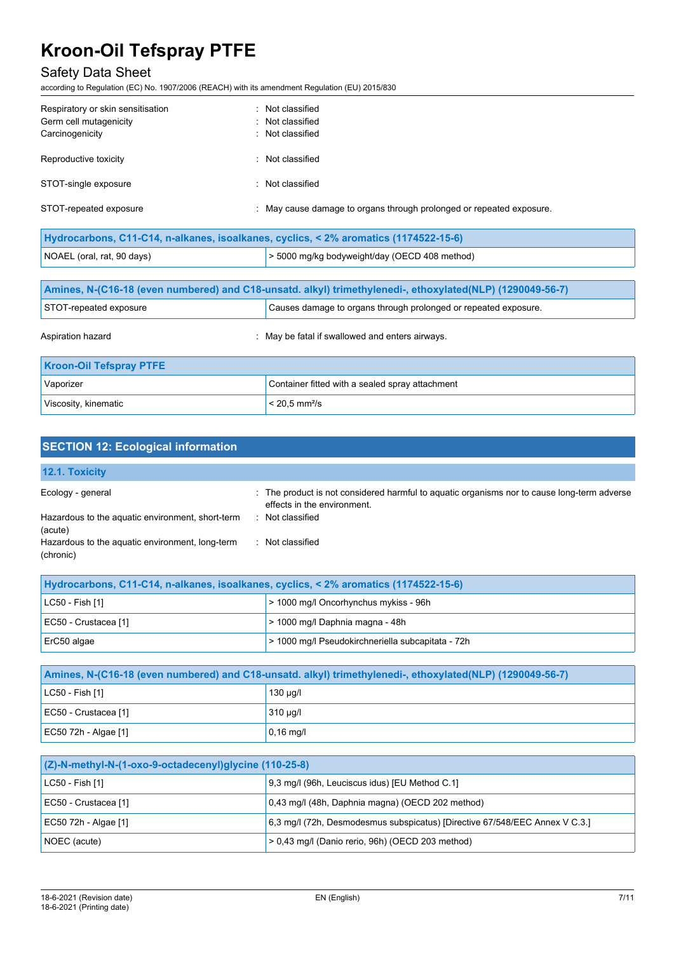### Safety Data Sheet

according to Regulation (EC) No. 1907/2006 (REACH) with its amendment Regulation (EU) 2015/830

| Respiratory or skin sensitisation | : Not classified                                                                     |
|-----------------------------------|--------------------------------------------------------------------------------------|
| Germ cell mutagenicity            | : Not classified                                                                     |
| Carcinogenicity                   | Not classified                                                                       |
| Reproductive toxicity             | : Not classified                                                                     |
| STOT-single exposure              | : Not classified                                                                     |
| STOT-repeated exposure            | . May cause damage to organs through prolonged or repeated exposure.                 |
|                                   | Hydrocarbons, C11-C14, n-alkanes, isoalkanes, cyclics, < 2% aromatics (1174522-15-6) |

| NOAEL (oral, rat, 90 days)                                                                                | > 5000 mg/kg bodyweight/day (OECD 408 method)                   |  |
|-----------------------------------------------------------------------------------------------------------|-----------------------------------------------------------------|--|
|                                                                                                           |                                                                 |  |
| Amines, N-(C16-18 (even numbered) and C18-unsatd. alkyl) trimethylenedi-, ethoxylated(NLP) (1290049-56-7) |                                                                 |  |
| STOT-repeated exposure                                                                                    | Causes damage to organs through prolonged or repeated exposure. |  |
| Aspiration hazard                                                                                         | : May be fatal if swallowed and enters airways.                 |  |
| <b>Kroon-Oil Tefspray PTFE</b>                                                                            |                                                                 |  |
| Vaporizer                                                                                                 | Container fitted with a sealed spray attachment                 |  |
| Viscosity, kinematic                                                                                      | $< 20.5$ mm <sup>2</sup> /s                                     |  |

| <b>SECTION 12: Ecological information</b>                    |                                                                                                                            |
|--------------------------------------------------------------|----------------------------------------------------------------------------------------------------------------------------|
| 12.1. Toxicity                                               |                                                                                                                            |
| Ecology - general                                            | : The product is not considered harmful to aguatic organisms nor to cause long-term adverse<br>effects in the environment. |
| Hazardous to the aquatic environment, short-term<br>(acute)  | : Not classified                                                                                                           |
| Hazardous to the aquatic environment, long-term<br>(chronic) | : Not classified                                                                                                           |

| Hydrocarbons, C11-C14, n-alkanes, isoalkanes, cyclics, < 2% aromatics (1174522-15-6) |                                                   |  |
|--------------------------------------------------------------------------------------|---------------------------------------------------|--|
| $ $ LC50 - Fish [1]                                                                  | > 1000 mg/l Oncorhynchus mykiss - 96h             |  |
| EC50 - Crustacea [1]                                                                 | > 1000 mg/l Daphnia magna - 48h                   |  |
| $ $ ErC50 algae                                                                      | > 1000 mg/l Pseudokirchneriella subcapitata - 72h |  |

| Amines, N-(C16-18 (even numbered) and C18-unsatd. alkyl) trimethylenedi-, ethoxylated(NLP) (1290049-56-7) |               |  |
|-----------------------------------------------------------------------------------------------------------|---------------|--|
| $ $ LC50 - Fish [1]                                                                                       | 130 µg/l      |  |
| EC50 - Crustacea [1]                                                                                      | $310 \mu g/l$ |  |
| EC50 72h - Algae [1]                                                                                      | $0,16$ mg/l   |  |

| $(Z)$ -N-methyl-N- $(1$ -oxo-9-octadecenyl)glycine $(110-25-8)$ |                                                                             |  |
|-----------------------------------------------------------------|-----------------------------------------------------------------------------|--|
| LC50 - Fish [1]                                                 | 9.3 mg/l (96h, Leuciscus idus) [EU Method C.1]                              |  |
| EC50 - Crustacea [1]                                            | 0,43 mg/l (48h, Daphnia magna) (OECD 202 method)                            |  |
| EC50 72h - Algae [1]                                            | 6,3 mg/l (72h, Desmodesmus subspicatus) [Directive 67/548/EEC Annex V C.3.] |  |
| NOEC (acute)                                                    | > 0,43 mg/l (Danio rerio, 96h) (OECD 203 method)                            |  |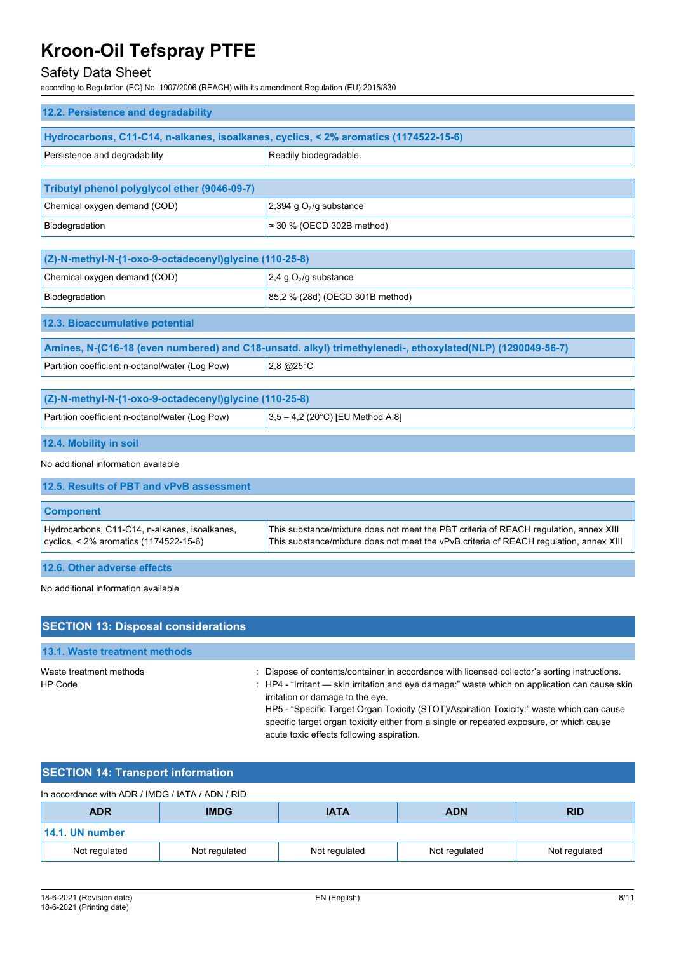### Safety Data Sheet

according to Regulation (EC) No. 1907/2006 (REACH) with its amendment Regulation (EU) 2015/830

| 12.2. Persistence and degradability                                                     |                                                                                                                                                                                 |
|-----------------------------------------------------------------------------------------|---------------------------------------------------------------------------------------------------------------------------------------------------------------------------------|
| Hydrocarbons, C11-C14, n-alkanes, isoalkanes, cyclics, < 2% aromatics (1174522-15-6)    |                                                                                                                                                                                 |
| Persistence and degradability                                                           | Readily biodegradable.                                                                                                                                                          |
|                                                                                         |                                                                                                                                                                                 |
| Tributyl phenol polyglycol ether (9046-09-7)                                            |                                                                                                                                                                                 |
| Chemical oxygen demand (COD)                                                            | 2,394 g $O2/g$ substance                                                                                                                                                        |
| Biodegradation                                                                          | $\approx$ 30 % (OECD 302B method)                                                                                                                                               |
|                                                                                         |                                                                                                                                                                                 |
| (Z)-N-methyl-N-(1-oxo-9-octadecenyl)glycine (110-25-8)                                  |                                                                                                                                                                                 |
| Chemical oxygen demand (COD)                                                            | 2,4 g $O_2$ /g substance                                                                                                                                                        |
| Biodegradation                                                                          | 85,2 % (28d) (OECD 301B method)                                                                                                                                                 |
| 12.3. Bioaccumulative potential                                                         |                                                                                                                                                                                 |
|                                                                                         | Amines, N-(C16-18 (even numbered) and C18-unsatd. alkyl) trimethylenedi-, ethoxylated(NLP) (1290049-56-7)                                                                       |
| Partition coefficient n-octanol/water (Log Pow)                                         | $2,8$ @ $25^{\circ}$ C                                                                                                                                                          |
|                                                                                         |                                                                                                                                                                                 |
| (Z)-N-methyl-N-(1-oxo-9-octadecenyl)glycine (110-25-8)                                  |                                                                                                                                                                                 |
| Partition coefficient n-octanol/water (Log Pow)                                         | 3,5 - 4,2 (20°C) [EU Method A.8]                                                                                                                                                |
| 12.4. Mobility in soil                                                                  |                                                                                                                                                                                 |
| No additional information available                                                     |                                                                                                                                                                                 |
| 12.5. Results of PBT and vPvB assessment                                                |                                                                                                                                                                                 |
| <b>Component</b>                                                                        |                                                                                                                                                                                 |
| Hydrocarbons, C11-C14, n-alkanes, isoalkanes,<br>cyclics, < 2% aromatics (1174522-15-6) | This substance/mixture does not meet the PBT criteria of REACH regulation, annex XIII<br>This substance/mixture does not meet the vPvB criteria of REACH regulation, annex XIII |
| 12.6. Other adverse effects                                                             |                                                                                                                                                                                 |
| No additional information available                                                     |                                                                                                                                                                                 |
| <b>SECTION 13: Disposal considerations</b>                                              |                                                                                                                                                                                 |
| 13.1. Waste treatment methods                                                           |                                                                                                                                                                                 |

Waste treatment methods : Dispose of contents/container in accordance with licensed collector's sorting instructions. HP Code : HP4 - "Irritant - skin irritation and eye damage:" waste which on application can cause skin irritation or damage to the eye. HP5 - "Specific Target Organ Toxicity (STOT)/Aspiration Toxicity:" waste which can cause specific target organ toxicity either from a single or repeated exposure, or which cause acute toxic effects following aspiration.

### **SECTION 14: Transport information**

| In accordance with ADR / IMDG / IATA / ADN / RID |               |               |               |               |
|--------------------------------------------------|---------------|---------------|---------------|---------------|
| <b>ADR</b>                                       | <b>IMDG</b>   | <b>IATA</b>   | <b>ADN</b>    | <b>RID</b>    |
| 14.1. UN number                                  |               |               |               |               |
| Not regulated                                    | Not regulated | Not regulated | Not regulated | Not regulated |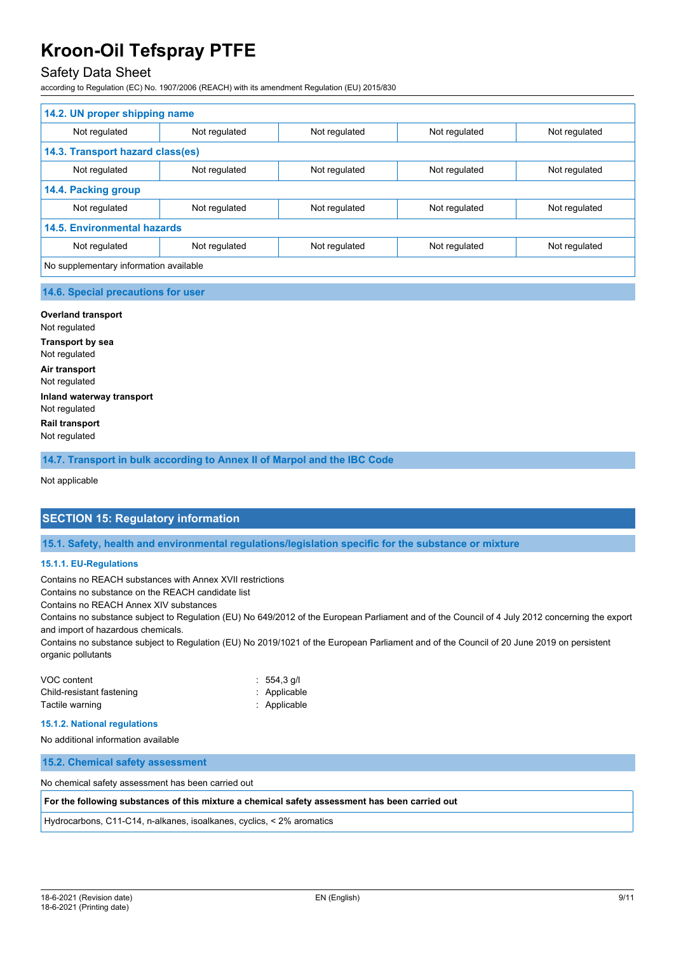### Safety Data Sheet

according to Regulation (EC) No. 1907/2006 (REACH) with its amendment Regulation (EU) 2015/830

| 14.2. UN proper shipping name          |               |               |               |               |
|----------------------------------------|---------------|---------------|---------------|---------------|
| Not regulated                          | Not regulated | Not regulated | Not regulated | Not regulated |
| 14.3. Transport hazard class(es)       |               |               |               |               |
| Not regulated                          | Not regulated | Not regulated | Not regulated | Not regulated |
| 14.4. Packing group                    |               |               |               |               |
| Not regulated                          | Not regulated | Not regulated | Not regulated | Not regulated |
| <b>14.5. Environmental hazards</b>     |               |               |               |               |
| Not regulated                          | Not regulated | Not regulated | Not regulated | Not regulated |
| No supplementary information available |               |               |               |               |
|                                        |               |               |               |               |

#### **14.6. Special precautions for user**

**Overland transport** Not regulated **Transport by sea** Not regulated **Air transport** Not regulated **Inland waterway transport** Not regulated **Rail transport** Not regulated

**14.7. Transport in bulk according to Annex II of Marpol and the IBC Code**

Not applicable

#### **SECTION 15: Regulatory information**

**15.1. Safety, health and environmental regulations/legislation specific for the substance or mixture**

#### **15.1.1. EU-Regulations**

Contains no REACH substances with Annex XVII restrictions

Contains no substance on the REACH candidate list

Contains no REACH Annex XIV substances

Contains no substance subject to Regulation (EU) No 649/2012 of the European Parliament and of the Council of 4 July 2012 concerning the export and import of hazardous chemicals.

Contains no substance subject to Regulation (EU) No 2019/1021 of the European Parliament and of the Council of 20 June 2019 on persistent organic pollutants

| VOC content               | $: 554.3$ q/l |
|---------------------------|---------------|
| Child-resistant fastening | : Applicable  |
| Tactile warning           | : Applicable  |

#### **15.1.2. National regulations**

No additional information available

**15.2. Chemical safety assessment**

No chemical safety assessment has been carried out

**For the following substances of this mixture a chemical safety assessment has been carried out**

Hydrocarbons, C11-C14, n-alkanes, isoalkanes, cyclics, < 2% aromatics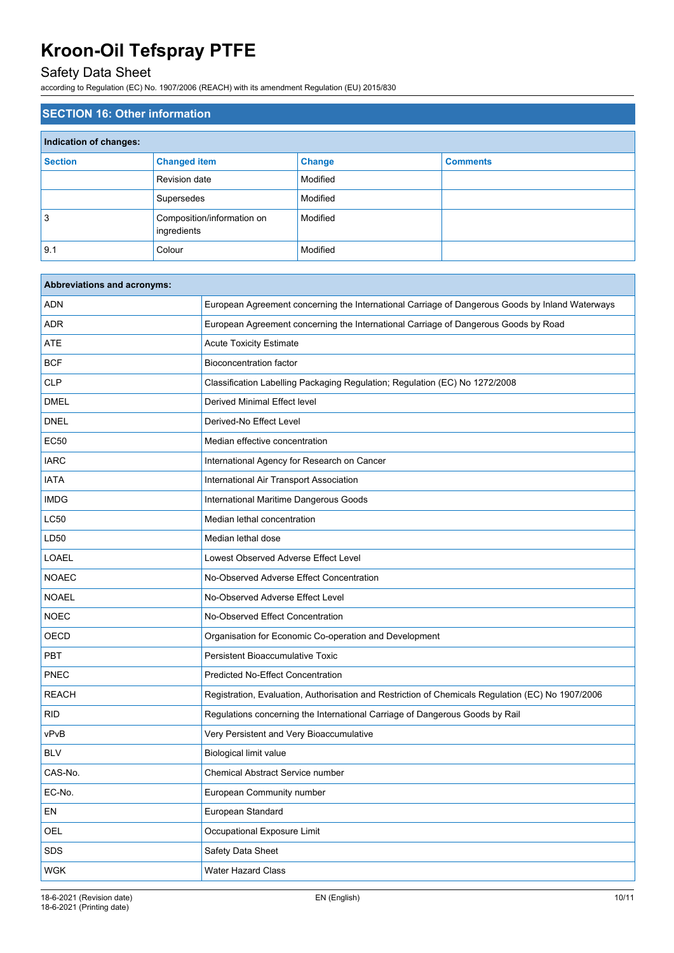## Safety Data Sheet

according to Regulation (EC) No. 1907/2006 (REACH) with its amendment Regulation (EU) 2015/830

| <b>SECTION 16: Other information</b> |                                           |               |                 |
|--------------------------------------|-------------------------------------------|---------------|-----------------|
| Indication of changes:               |                                           |               |                 |
| <b>Section</b>                       | <b>Changed item</b>                       | <b>Change</b> | <b>Comments</b> |
|                                      | Revision date                             | Modified      |                 |
|                                      | Supersedes                                | Modified      |                 |
| 3                                    | Composition/information on<br>ingredients | Modified      |                 |
| 9.1                                  | Colour                                    | Modified      |                 |

| Abbreviations and acronyms: |                                                                                                   |
|-----------------------------|---------------------------------------------------------------------------------------------------|
| <b>ADN</b>                  | European Agreement concerning the International Carriage of Dangerous Goods by Inland Waterways   |
| ADR                         | European Agreement concerning the International Carriage of Dangerous Goods by Road               |
| ATE                         | <b>Acute Toxicity Estimate</b>                                                                    |
| <b>BCF</b>                  | <b>Bioconcentration factor</b>                                                                    |
| <b>CLP</b>                  | Classification Labelling Packaging Regulation; Regulation (EC) No 1272/2008                       |
| <b>DMEL</b>                 | Derived Minimal Effect level                                                                      |
| <b>DNEL</b>                 | Derived-No Effect Level                                                                           |
| <b>EC50</b>                 | Median effective concentration                                                                    |
| <b>IARC</b>                 | International Agency for Research on Cancer                                                       |
| <b>IATA</b>                 | International Air Transport Association                                                           |
| <b>IMDG</b>                 | International Maritime Dangerous Goods                                                            |
| LC50                        | Median lethal concentration                                                                       |
| LD50                        | Median lethal dose                                                                                |
| LOAEL                       | Lowest Observed Adverse Effect Level                                                              |
| <b>NOAEC</b>                | No-Observed Adverse Effect Concentration                                                          |
| <b>NOAEL</b>                | No-Observed Adverse Effect Level                                                                  |
| <b>NOEC</b>                 | No-Observed Effect Concentration                                                                  |
| <b>OECD</b>                 | Organisation for Economic Co-operation and Development                                            |
| PBT                         | <b>Persistent Bioaccumulative Toxic</b>                                                           |
| <b>PNEC</b>                 | <b>Predicted No-Effect Concentration</b>                                                          |
| <b>REACH</b>                | Registration, Evaluation, Authorisation and Restriction of Chemicals Regulation (EC) No 1907/2006 |
| <b>RID</b>                  | Regulations concerning the International Carriage of Dangerous Goods by Rail                      |
| vPvB                        | Very Persistent and Very Bioaccumulative                                                          |
| <b>BLV</b>                  | Biological limit value                                                                            |
| CAS-No.                     | <b>Chemical Abstract Service number</b>                                                           |
| EC-No.                      | European Community number                                                                         |
| EN                          | European Standard                                                                                 |
| OEL                         | Occupational Exposure Limit                                                                       |
| SDS                         | Safety Data Sheet                                                                                 |
| <b>WGK</b>                  | Water Hazard Class                                                                                |